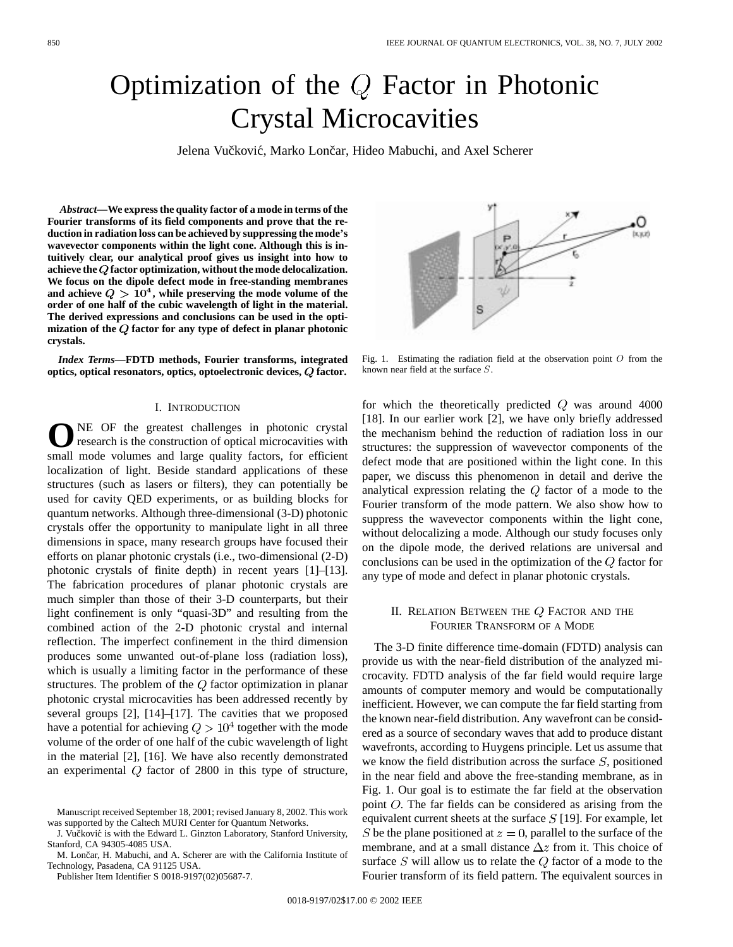# Optimization of the Q Factor in Photonic Crystal Microcavities

Jelena Vučković, Marko Lončar, Hideo Mabuchi, and Axel Scherer

*Abstract—***We express the quality factor of a mode in terms of the Fourier transforms of its field components and prove that the reduction in radiation loss can be achieved by suppressing the mode's wavevector components within the light cone. Although this is intuitively clear, our analytical proof gives us insight into how to achieve the factor optimization, without the mode delocalization. We focus on the dipole defect mode in free-standing membranes** and achieve  $Q > 10<sup>4</sup>$ , while preserving the mode volume of the **order of one half of the cubic wavelength of light in the material. The derived expressions and conclusions can be used in the opti**mization of the  $Q$  factor for any type of defect in planar photonic **crystals.**

*Index Terms—***FDTD methods, Fourier transforms, integrated optics, optical resonators, optics, optoelectronic devices, factor.**

### I. INTRODUCTION

NE OF the greatest challenges in photonic crystal research is the construction of optical microcavities with small mode volumes and large quality factors, for efficient localization of light. Beside standard applications of these structures (such as lasers or filters), they can potentially be used for cavity QED experiments, or as building blocks for quantum networks. Although three-dimensional (3-D) photonic crystals offer the opportunity to manipulate light in all three dimensions in space, many research groups have focused their efforts on planar photonic crystals (i.e., two-dimensional (2-D) photonic crystals of finite depth) in recent years [1]–[13]. The fabrication procedures of planar photonic crystals are much simpler than those of their 3-D counterparts, but their light confinement is only "quasi-3D" and resulting from the combined action of the 2-D photonic crystal and internal reflection. The imperfect confinement in the third dimension produces some unwanted out-of-plane loss (radiation loss), which is usually a limiting factor in the performance of these structures. The problem of the  $Q$  factor optimization in planar photonic crystal microcavities has been addressed recently by several groups [2], [14]–[17]. The cavities that we proposed have a potential for achieving  $Q > 10^4$  together with the mode volume of the order of one half of the cubic wavelength of light in the material [2], [16]. We have also recently demonstrated an experimental  $Q$  factor of 2800 in this type of structure,

M. Lončar, H. Mabuchi, and A. Scherer are with the California Institute of Technology, Pasadena, CA 91125 USA.

Publisher Item Identifier S 0018-9197(02)05687-7.



Fig. 1. Estimating the radiation field at the observation point  $O$  from the known near field at the surface S.

for which the theoretically predicted  $Q$  was around 4000 [18]. In our earlier work [2], we have only briefly addressed the mechanism behind the reduction of radiation loss in our structures: the suppression of wavevector components of the defect mode that are positioned within the light cone. In this paper, we discuss this phenomenon in detail and derive the analytical expression relating the  $Q$  factor of a mode to the Fourier transform of the mode pattern. We also show how to suppress the wavevector components within the light cone, without delocalizing a mode. Although our study focuses only on the dipole mode, the derived relations are universal and conclusions can be used in the optimization of the  $Q$  factor for any type of mode and defect in planar photonic crystals.

## II. RELATION BETWEEN THE  $Q$  FACTOR AND THE FOURIER TRANSFORM OF A MODE

The 3-D finite difference time-domain (FDTD) analysis can provide us with the near-field distribution of the analyzed microcavity. FDTD analysis of the far field would require large amounts of computer memory and would be computationally inefficient. However, we can compute the far field starting from the known near-field distribution. Any wavefront can be considered as a source of secondary waves that add to produce distant wavefronts, according to Huygens principle. Let us assume that we know the field distribution across the surface  $S$ , positioned in the near field and above the free-standing membrane, as in Fig. 1. Our goal is to estimate the far field at the observation point  $O$ . The far fields can be considered as arising from the equivalent current sheets at the surface  $S$  [19]. For example, let S be the plane positioned at  $z = 0$ , parallel to the surface of the membrane, and at a small distance  $\Delta z$  from it. This choice of surface  $S$  will allow us to relate the  $Q$  factor of a mode to the Fourier transform of its field pattern. The equivalent sources in

Manuscript received September 18, 2001; revised January 8, 2002. This work was supported by the Caltech MURI Center for Quantum Networks.

J. Vučković is with the Edward L. Ginzton Laboratory, Stanford University, Stanford, CA 94305-4085 USA.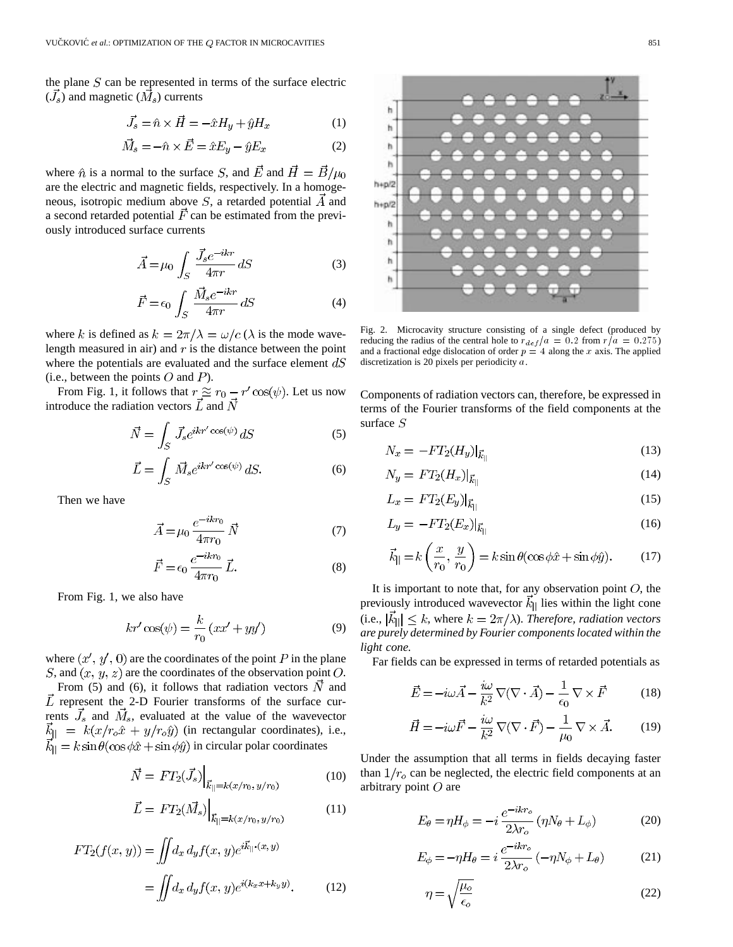the plane  $S$  can be represented in terms of the surface electric  $(\vec{J}_s)$  and magnetic  $(\vec{M}_s)$  currents

$$
\vec{J}_s = \hat{n} \times \vec{H} = -\hat{x}H_y + \hat{y}H_x \tag{1}
$$

$$
\vec{M}_s = -\hat{n} \times \vec{E} = \hat{x} E_y - \hat{y} E_x \tag{2}
$$

where  $\hat{n}$  is a normal to the surface S, and  $\vec{E}$  and  $\vec{H} = \vec{B}/\mu_0$ are the electric and magnetic fields, respectively. In a homogeneous, isotropic medium above  $S$ , a retarded potential  $\vec{A}$  and a second retarded potential  $\vec{F}$  can be estimated from the previously introduced surface currents

$$
\vec{A} = \mu_0 \int_S \frac{\vec{J}_s e^{-ikr}}{4\pi r} dS
$$
 (3)

$$
\vec{F} = \epsilon_0 \int_S \frac{\vec{M}_s e^{-ikr}}{4\pi r} dS \tag{4}
$$

where k is defined as  $k = 2\pi/\lambda = \omega/c$  ( $\lambda$  is the mode wavelength measured in air) and  $r$  is the distance between the point where the potentials are evaluated and the surface element  $dS$ (i.e., between the points  $O$  and  $P$ ).

From Fig. 1, it follows that  $r \approx r_0 - r' \cos(\psi)$ . Let us now introduce the radiation vectors  $L$  and

$$
\vec{N} = \int_{S} \vec{J}_s e^{ikr'\cos(\psi)} dS \tag{5}
$$

$$
\vec{L} = \int_{S} \vec{M}_{s} e^{ikr' \cos(\psi)} dS. \tag{6}
$$

Then we have

$$
\vec{A} = \mu_0 \, \frac{e^{-ikr_0}}{4\pi r_0} \, \vec{N} \tag{7}
$$

$$
\vec{F} = \epsilon_0 \, \frac{e^{-ikr_0}}{4\pi r_0} \, \vec{L}.
$$
\n(8)

From Fig. 1, we also have

$$
kr' \cos(\psi) = \frac{k}{r_0} \left( xx' + yy' \right) \tag{9}
$$

where  $(x', y', 0)$  are the coordinates of the point P in the plane S, and  $(x, y, z)$  are the coordinates of the observation point O.

From (5) and (6), it follows that radiation vectors  $\vec{N}$  and  $\vec{L}$  represent the 2-D Fourier transforms of the surface currents  $\vec{J}_s$  and  $\vec{M}_s$ , evaluated at the value of the wavevector  $\vec{k}_{\parallel} = k(x/r_o \hat{x} + y/r_o \hat{y})$  (in rectangular coordinates), i.e.,  $\vec{k}_{\parallel} = k \sin \theta (\cos \phi \hat{x} + \sin \phi \hat{y})$  in circular polar coordinates

$$
\vec{N} = FT_2(\vec{J}_s) \Big|_{\vec{k}_{\parallel} = k(x/r_0, y/r_0)}
$$
(10)

$$
\vec{L} = FT_2(\vec{M}_s) \Big|_{\vec{k}_{\parallel} = k(x/r_0, y/r_0)}
$$
(11)

$$
FT_2(f(x, y)) = \iint d_x d_y f(x, y) e^{i\vec{k}_{||} \cdot (x, y)}
$$

$$
= \iint d_x d_y f(x, y) e^{i(k_x x + k_y y)}.
$$
(12)

 $h + p/2$  $h + p/2$ h

Fig. 2. Microcavity structure consisting of a single defect (produced by reducing the radius of the central hole to  $r_{def}/a = 0.2$  from  $r/a = 0.275$ ) and a fractional edge dislocation of order  $p = 4$  along the x axis. The applied discretization is 20 pixels per periodicity a.

Components of radiation vectors can, therefore, be expressed in terms of the Fourier transforms of the field components at the surface  $S$ 

$$
N_x = -FT_2(H_y)|_{\vec{k}_{||}}\tag{13}
$$

$$
N_y = FT_2(H_x)|_{\vec{k}_{||}}\tag{14}
$$

$$
L_x = FT_2(E_y)|_{\vec{k}_{||}}\tag{15}
$$

$$
L_y = -FT_2(E_x)|_{\vec{k}_{\parallel}} \tag{16}
$$

$$
\vec{k}_{\parallel} = k \left( \frac{x}{r_0}, \frac{y}{r_0} \right) = k \sin \theta (\cos \phi \hat{x} + \sin \phi \hat{y}). \tag{17}
$$

It is important to note that, for any observation point  $O$ , the previously introduced wavevector  $k_{\parallel}$  lies within the light cone (i.e.,  $|\vec{k}_{\parallel}| \leq k$ , where  $k = 2\pi/\lambda$ ). *Therefore, radiation vectors are purely determined by Fourier components located within the light cone.*

Far fields can be expressed in terms of retarded potentials as

$$
\vec{E} = -i\omega \vec{A} - \frac{i\omega}{k^2} \nabla (\nabla \cdot \vec{A}) - \frac{1}{\epsilon_0} \nabla \times \vec{F}
$$
 (18)

$$
\vec{H} = -i\omega \vec{F} - \frac{i\omega}{k^2} \nabla (\nabla \cdot \vec{F}) - \frac{1}{\mu_0} \nabla \times \vec{A}.
$$
 (19)

Under the assumption that all terms in fields decaying faster than  $1/r<sub>o</sub>$  can be neglected, the electric field components at an arbitrary point  $O$  are

$$
E_{\theta} = \eta H_{\phi} = -i \frac{e^{-ikr_o}}{2\lambda r_o} (\eta N_{\theta} + L_{\phi})
$$
 (20)

$$
E_{\phi} = -\eta H_{\theta} = i \frac{e^{-ikr_o}}{2\lambda r_o} \left( -\eta N_{\phi} + L_{\theta} \right) \tag{21}
$$

$$
\eta = \sqrt{\frac{\mu_o}{\epsilon_o}}\tag{22}
$$

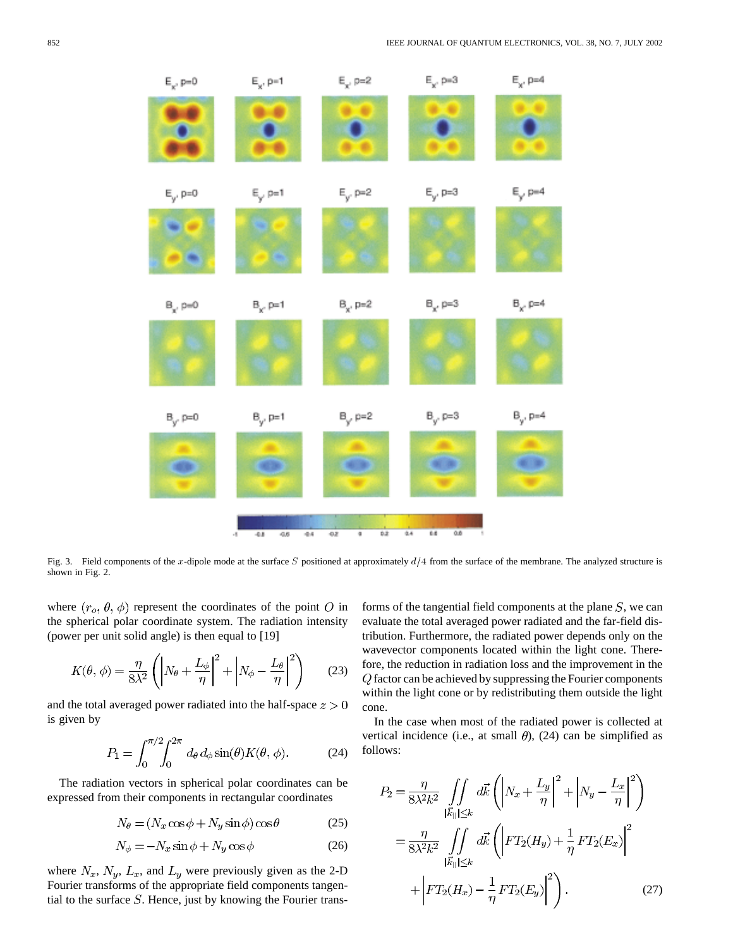

Fig. 3. Field components of the x-dipole mode at the surface S positioned at approximately  $d/4$  from the surface of the membrane. The analyzed structure is shown in Fig. 2.

where  $(r_o, \theta, \phi)$  represent the coordinates of the point O in the spherical polar coordinate system. The radiation intensity (power per unit solid angle) is then equal to [19]

$$
K(\theta, \phi) = \frac{\eta}{8\lambda^2} \left( \left| N_\theta + \frac{L_\phi}{\eta} \right|^2 + \left| N_\phi - \frac{L_\theta}{\eta} \right|^2 \right) \tag{23}
$$

and the total averaged power radiated into the half-space  $z > 0$ is given by

$$
P_1 = \int_0^{\pi/2} \int_0^{2\pi} d\theta \, d\phi \sin(\theta) K(\theta, \phi). \tag{24}
$$

The radiation vectors in spherical polar coordinates can be expressed from their components in rectangular coordinates

$$
N_{\theta} = (N_x \cos \phi + N_y \sin \phi) \cos \theta \tag{25}
$$

$$
N_{\phi} = -N_x \sin \phi + N_y \cos \phi \tag{26}
$$

where  $N_x$ ,  $N_y$ ,  $L_x$ , and  $L_y$  were previously given as the 2-D Fourier transforms of the appropriate field components tangential to the surface  $S$ . Hence, just by knowing the Fourier transforms of the tangential field components at the plane  $S$ , we can evaluate the total averaged power radiated and the far-field distribution. Furthermore, the radiated power depends only on the wavevector components located within the light cone. Therefore, the reduction in radiation loss and the improvement in the  $Q$  factor can be achieved by suppressing the Fourier components within the light cone or by redistributing them outside the light cone.

In the case when most of the radiated power is collected at vertical incidence (i.e., at small  $\theta$ ), (24) can be simplified as follows:

$$
P_2 = \frac{\eta}{8\lambda^2 k^2} \iint\limits_{|\vec{k}_{\parallel}| \le k} d\vec{k} \left( \left| N_x + \frac{L_y}{\eta} \right|^2 + \left| N_y - \frac{L_x}{\eta} \right|^2 \right)
$$
  

$$
= \frac{\eta}{8\lambda^2 k^2} \iint\limits_{|\vec{k}_{\parallel}| \le k} d\vec{k} \left( \left| FT_2(H_y) + \frac{1}{\eta} FT_2(E_x) \right|^2 \right)
$$
  

$$
+ \left| FT_2(H_x) - \frac{1}{\eta} FT_2(E_y) \right|^2 \right). \tag{27}
$$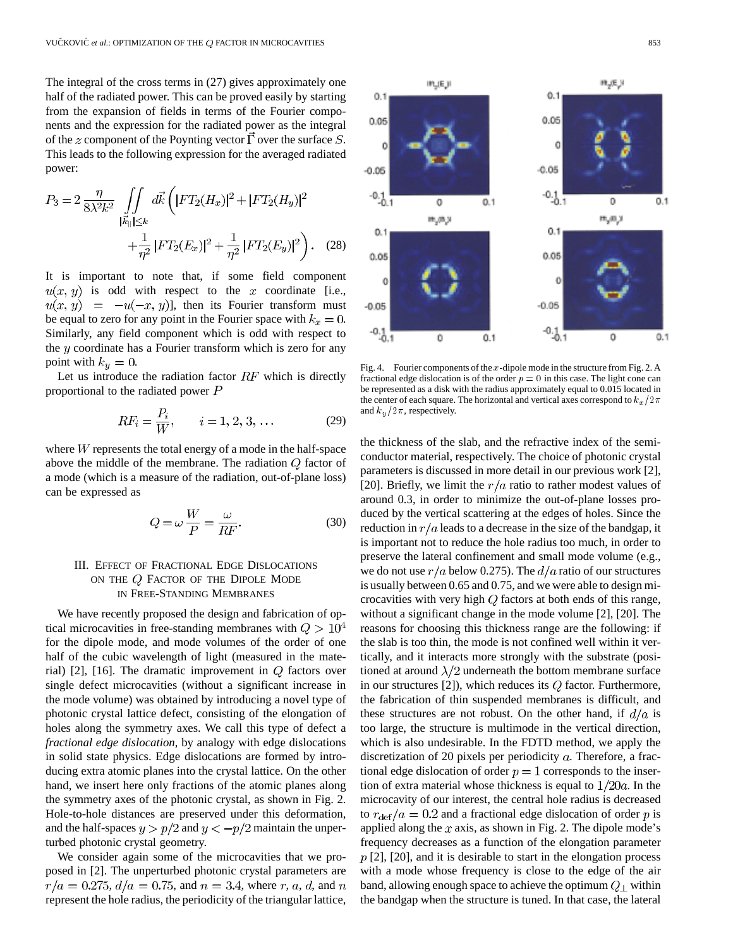The integral of the cross terms in (27) gives approximately one half of the radiated power. This can be proved easily by starting from the expansion of fields in terms of the Fourier components and the expression for the radiated power as the integral of the z component of the Poynting vector  $\vec{\Gamma}$  over the surface S. This leads to the following expression for the averaged radiated power:

$$
P_3 = 2 \frac{\eta}{8\lambda^2 k^2} \iint\limits_{|\vec{k}_{\parallel}| \le k} d\vec{k} \left( |FT_2(H_x)|^2 + |FT_2(H_y)|^2 + \frac{1}{|\vec{k}_{\parallel}| \le k} + \frac{1}{\eta^2} |FT_2(E_x)|^2 + \frac{1}{\eta^2} |FT_2(E_y)|^2 \right). \tag{28}
$$

It is important to note that, if some field component  $u(x, y)$  is odd with respect to the x coordinate [i.e.,  $u(x, y) = -u(-x, y)$ , then its Fourier transform must be equal to zero for any point in the Fourier space with  $k_x = 0$ . Similarly, any field component which is odd with respect to the  $y$  coordinate has a Fourier transform which is zero for any point with  $k_y = 0$ .

Let us introduce the radiation factor  $RF$  which is directly proportional to the radiated power  $P$ 

$$
RF_i = \frac{P_i}{W}, \qquad i = 1, 2, 3, ... \tag{29}
$$

where  $W$  represents the total energy of a mode in the half-space above the middle of the membrane. The radiation  $Q$  factor of a mode (which is a measure of the radiation, out-of-plane loss) can be expressed as

$$
Q = \omega \frac{W}{P} = \frac{\omega}{RF}.
$$
\n(30)

# III. EFFECT OF FRACTIONAL EDGE DISLOCATIONS ON THE  $Q$  FACTOR OF THE DIPOLE MODE IN FREE-STANDING MEMBRANES

We have recently proposed the design and fabrication of optical microcavities in free-standing membranes with  $Q > 10^4$ for the dipole mode, and mode volumes of the order of one half of the cubic wavelength of light (measured in the material) [2], [16]. The dramatic improvement in  $Q$  factors over single defect microcavities (without a significant increase in the mode volume) was obtained by introducing a novel type of photonic crystal lattice defect, consisting of the elongation of holes along the symmetry axes. We call this type of defect a *fractional edge dislocation*, by analogy with edge dislocations in solid state physics. Edge dislocations are formed by introducing extra atomic planes into the crystal lattice. On the other hand, we insert here only fractions of the atomic planes along the symmetry axes of the photonic crystal, as shown in Fig. 2. Hole-to-hole distances are preserved under this deformation, and the half-spaces  $y > p/2$  and  $y < -p/2$  maintain the unperturbed photonic crystal geometry.

We consider again some of the microcavities that we proposed in [2]. The unperturbed photonic crystal parameters are  $r/a = 0.275, d/a = 0.75$ , and  $n = 3.4$ , where r, a, d, and n represent the hole radius, the periodicity of the triangular lattice,



the thickness of the slab, and the refractive index of the semiconductor material, respectively. The choice of photonic crystal parameters is discussed in more detail in our previous work [2], [20]. Briefly, we limit the  $r/a$  ratio to rather modest values of around 0.3, in order to minimize the out-of-plane losses produced by the vertical scattering at the edges of holes. Since the reduction in  $r/a$  leads to a decrease in the size of the bandgap, it is important not to reduce the hole radius too much, in order to preserve the lateral confinement and small mode volume (e.g., we do not use  $r/a$  below 0.275). The  $d/a$  ratio of our structures is usually between 0.65 and 0.75, and we were able to design microcavities with very high  $Q$  factors at both ends of this range, without a significant change in the mode volume [2], [20]. The reasons for choosing this thickness range are the following: if the slab is too thin, the mode is not confined well within it vertically, and it interacts more strongly with the substrate (positioned at around  $\lambda/2$  underneath the bottom membrane surface in our structures [2]), which reduces its  $Q$  factor. Furthermore, the fabrication of thin suspended membranes is difficult, and these structures are not robust. On the other hand, if  $d/a$  is too large, the structure is multimode in the vertical direction, which is also undesirable. In the FDTD method, we apply the discretization of 20 pixels per periodicity  $a$ . Therefore, a fractional edge dislocation of order  $p = 1$  corresponds to the insertion of extra material whose thickness is equal to  $1/20a$ . In the microcavity of our interest, the central hole radius is decreased to  $r_{\text{def}}/a = 0.2$  and a fractional edge dislocation of order p is applied along the  $x$  axis, as shown in Fig. 2. The dipole mode's frequency decreases as a function of the elongation parameter  $p$  [2], [20], and it is desirable to start in the elongation process with a mode whose frequency is close to the edge of the air band, allowing enough space to achieve the optimum  $Q_{\perp}$  within the bandgap when the structure is tuned. In that case, the lateral

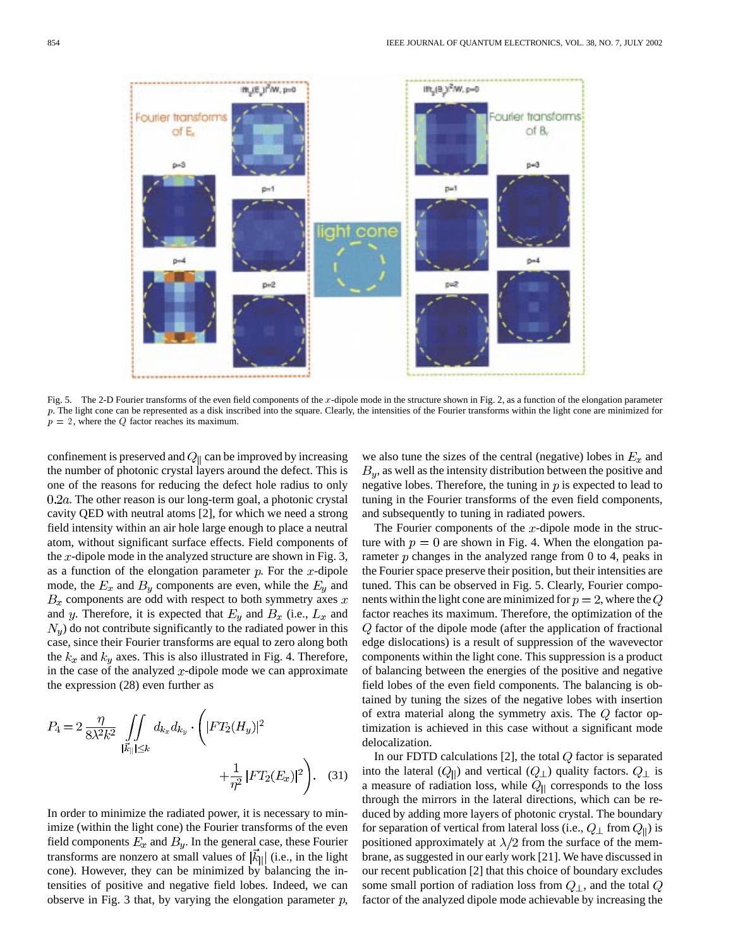

Fig. 5. The 2-D Fourier transforms of the even field components of the x-dipole mode in the structure shown in Fig. 2, as a function of the elongation parameter  $p$ . The light cone can be represented as a disk inscribed into the square. Clearly, the intensities of the Fourier transforms within the light cone are minimized for  $p = 2$ , where the Q factor reaches its maximum.

confinement is preserved and  $Q_{\parallel}$  can be improved by increasing the number of photonic crystal layers around the defect. This is one of the reasons for reducing the defect hole radius to only  $0.2a$ . The other reason is our long-term goal, a photonic crystal cavity QED with neutral atoms [2], for which we need a strong field intensity within an air hole large enough to place a neutral atom, without significant surface effects. Field components of the  $x$ -dipole mode in the analyzed structure are shown in Fig. 3, as a function of the elongation parameter  $p$ . For the  $x$ -dipole mode, the  $E_x$  and  $B_y$  components are even, while the  $E_y$  and  $B_x$  components are odd with respect to both symmetry axes  $x$ and y. Therefore, it is expected that  $E_y$  and  $B_x$  (i.e.,  $L_x$  and  $N<sub>u</sub>$ ) do not contribute significantly to the radiated power in this case, since their Fourier transforms are equal to zero along both the  $k_x$  and  $k_y$  axes. This is also illustrated in Fig. 4. Therefore, in the case of the analyzed  $x$ -dipole mode we can approximate the expression (28) even further as

$$
P_4 = 2 \frac{\eta}{8\lambda^2 k^2} \iint\limits_{|\vec{k}_{\parallel}| \le k} d_{k_x} d_{k_y} \cdot \left( |FT_2(H_y)|^2 + \frac{1}{\eta^2} |FT_2(E_x)|^2 \right). \tag{31}
$$

In order to minimize the radiated power, it is necessary to minimize (within the light cone) the Fourier transforms of the even field components  $E_x$  and  $B_y$ . In the general case, these Fourier transforms are nonzero at small values of  $|\vec{k}_{\parallel}|$  (i.e., in the light cone). However, they can be minimized by balancing the intensities of positive and negative field lobes. Indeed, we can observe in Fig. 3 that, by varying the elongation parameter  $p$ ,

we also tune the sizes of the central (negative) lobes in  $E_x$  and  $B_y$ , as well as the intensity distribution between the positive and negative lobes. Therefore, the tuning in  $p$  is expected to lead to tuning in the Fourier transforms of the even field components, and subsequently to tuning in radiated powers.

The Fourier components of the  $x$ -dipole mode in the structure with  $p = 0$  are shown in Fig. 4. When the elongation parameter  $p$  changes in the analyzed range from 0 to 4, peaks in the Fourier space preserve their position, but their intensities are tuned. This can be observed in Fig. 5. Clearly, Fourier components within the light cone are minimized for  $p = 2$ , where the Q factor reaches its maximum. Therefore, the optimization of the  $Q$  factor of the dipole mode (after the application of fractional edge dislocations) is a result of suppression of the wavevector components within the light cone. This suppression is a product of balancing between the energies of the positive and negative field lobes of the even field components. The balancing is obtained by tuning the sizes of the negative lobes with insertion of extra material along the symmetry axis. The  $Q$  factor optimization is achieved in this case without a significant mode delocalization.

In our FDTD calculations  $[2]$ , the total  $Q$  factor is separated into the lateral  $(Q_{\parallel})$  and vertical  $(Q_{\perp})$  quality factors.  $Q_{\perp}$  is a measure of radiation loss, while  $Q_{\parallel}$  corresponds to the loss through the mirrors in the lateral directions, which can be reduced by adding more layers of photonic crystal. The boundary for separation of vertical from lateral loss (i.e.,  $Q_{\perp}$  from  $Q_{\parallel}$ ) is positioned approximately at  $\lambda/2$  from the surface of the membrane, as suggested in our early work [21]. We have discussed in our recent publication [2] that this choice of boundary excludes some small portion of radiation loss from  $Q_{\perp}$ , and the total  $Q$ factor of the analyzed dipole mode achievable by increasing the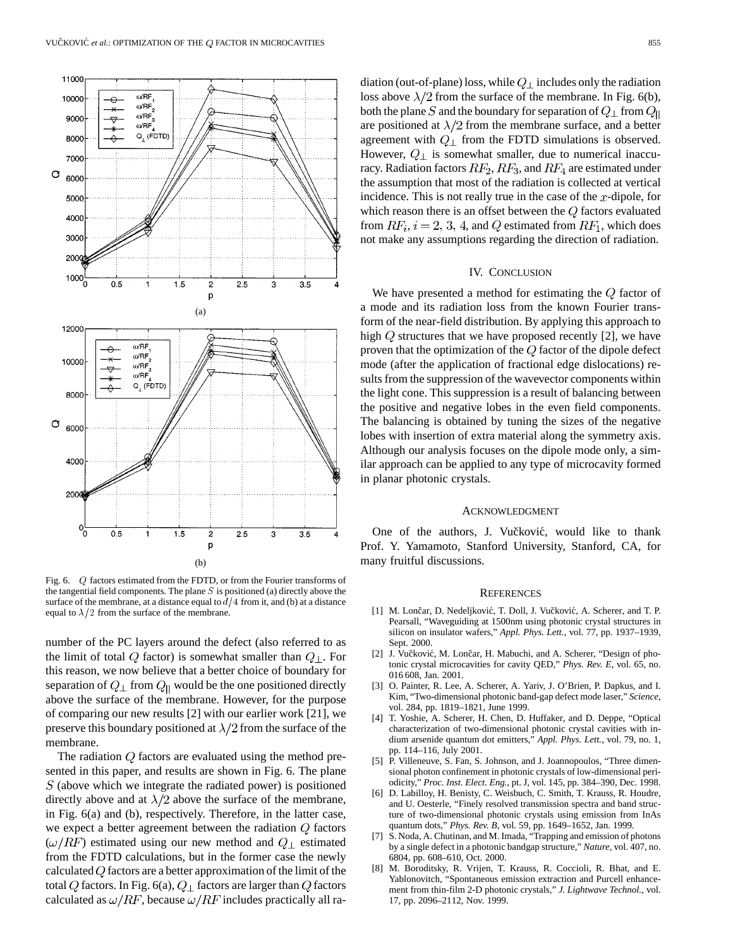

Fig. 6. Q factors estimated from the FDTD, or from the Fourier transforms of the tangential field components. The plane  $S$  is positioned (a) directly above the surface of the membrane, at a distance equal to  $d/4$  from it, and (b) at a distance equal to  $\lambda/2$  from the surface of the membrane.

number of the PC layers around the defect (also referred to as the limit of total  $Q$  factor) is somewhat smaller than  $Q_{\perp}$ . For this reason, we now believe that a better choice of boundary for separation of  $Q_{\perp}$  from  $Q_{\parallel}$  would be the one positioned directly above the surface of the membrane. However, for the purpose of comparing our new results [2] with our earlier work [21], we preserve this boundary positioned at  $\lambda/2$  from the surface of the membrane.

The radiation  $Q$  factors are evaluated using the method presented in this paper, and results are shown in Fig. 6. The plane  $S$  (above which we integrate the radiated power) is positioned directly above and at  $\lambda/2$  above the surface of the membrane, in Fig. 6(a) and (b), respectively. Therefore, in the latter case, we expect a better agreement between the radiation  $Q$  factors  $(\omega/RF)$  estimated using our new method and  $Q_{\perp}$  estimated from the FDTD calculations, but in the former case the newly calculated  $Q$  factors are a better approximation of the limit of the total Q factors. In Fig. 6(a),  $Q_{\perp}$  factors are larger than Q factors calculated as  $\omega/RF$ , because  $\omega/RF$  includes practically all radiation (out-of-plane) loss, while  $Q_{\perp}$  includes only the radiation loss above  $\lambda/2$  from the surface of the membrane. In Fig. 6(b), both the plane S and the boundary for separation of  $Q_{\perp}$  from  $Q_{\parallel}$ are positioned at  $\lambda/2$  from the membrane surface, and a better agreement with  $Q_{\perp}$  from the FDTD simulations is observed. However,  $Q_{\perp}$  is somewhat smaller, due to numerical inaccuracy. Radiation factors  $RF_2, RF_3$ , and  $RF_4$  are estimated under the assumption that most of the radiation is collected at vertical incidence. This is not really true in the case of the  $x$ -dipole, for which reason there is an offset between the  $Q$  factors evaluated from  $RF_i$ ,  $i = 2, 3, 4$ , and Q estimated from  $RF_1$ , which does not make any assumptions regarding the direction of radiation.

## IV. CONCLUSION

We have presented a method for estimating the  $Q$  factor of a mode and its radiation loss from the known Fourier transform of the near-field distribution. By applying this approach to high  $Q$  structures that we have proposed recently [2], we have proven that the optimization of the  $Q$  factor of the dipole defect mode (after the application of fractional edge dislocations) results from the suppression of the wavevector components within the light cone. This suppression is a result of balancing between the positive and negative lobes in the even field components. The balancing is obtained by tuning the sizes of the negative lobes with insertion of extra material along the symmetry axis. Although our analysis focuses on the dipole mode only, a similar approach can be applied to any type of microcavity formed in planar photonic crystals.

#### ACKNOWLEDGMENT

One of the authors, J. Vučković, would like to thank Prof. Y. Yamamoto, Stanford University, Stanford, CA, for many fruitful discussions.

#### **REFERENCES**

- [1] M. Lončar, D. Nedeljković, T. Doll, J. Vučković, A. Scherer, and T. P. Pearsall, "Waveguiding at 1500nm using photonic crystal structures in silicon on insulator wafers," *Appl. Phys. Lett.*, vol. 77, pp. 1937–1939, Sept. 2000.
- [2] J. Vučković, M. Lončar, H. Mabuchi, and A. Scherer, "Design of photonic crystal microcavities for cavity QED," *Phys. Rev. E*, vol. 65, no. 016 608, Jan. 2001.
- [3] O. Painter, R. Lee, A. Scherer, A. Yariv, J. O'Brien, P. Dapkus, and I. Kim, "Two-dimensional photonic band-gap defect mode laser," *Science*, vol. 284, pp. 1819–1821, June 1999.
- [4] T. Yoshie, A. Scherer, H. Chen, D. Huffaker, and D. Deppe, "Optical characterization of two-dimensional photonic crystal cavities with indium arsenide quantum dot emitters," *Appl. Phys. Lett.*, vol. 79, no. 1, pp. 114–116, July 2001.
- [5] P. Villeneuve, S. Fan, S. Johnson, and J. Joannopoulos, "Three dimensional photon confinement in photonic crystals of low-dimensional periodicity," *Proc. Inst. Elect. Eng.*, pt. J, vol. 145, pp. 384–390, Dec. 1998.
- [6] D. Labilloy, H. Benisty, C. Weisbuch, C. Smith, T. Krauss, R. Houdre, and U. Oesterle, "Finely resolved transmission spectra and band structure of two-dimensional photonic crystals using emission from InAs quantum dots," *Phys. Rev. B*, vol. 59, pp. 1649–1652, Jan. 1999.
- [7] S. Noda, A. Chutinan, and M. Imada, "Trapping and emission of photons by a single defect in a photonic bandgap structure," *Nature*, vol. 407, no. 6804, pp. 608–610, Oct. 2000.
- [8] M. Boroditsky, R. Vrijen, T. Krauss, R. Coccioli, R. Bhat, and E. Yablonovitch, "Spontaneous emission extraction and Purcell enhancement from thin-film 2-D photonic crystals," *J. Lightwave Technol.*, vol. 17, pp. 2096–2112, Nov. 1999.